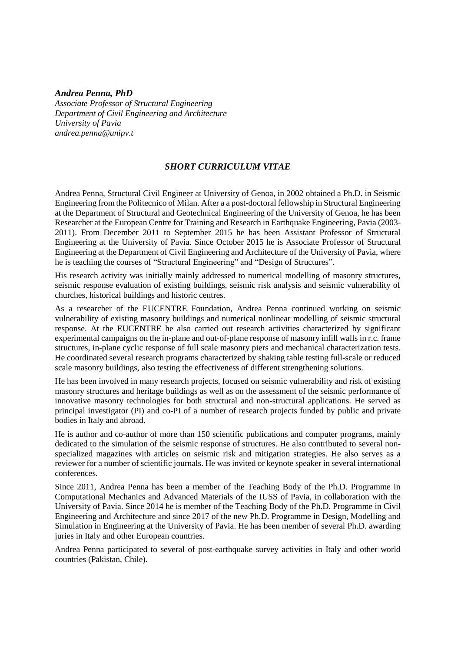## *Andrea Penna, PhD*

*Associate Professor of Structural Engineering Department of Civil Engineering and Architecture University of Pavia andrea.penna@unipv.t*

# *SHORT CURRICULUM VITAE*

Andrea Penna, Structural Civil Engineer at University of Genoa, in 2002 obtained a Ph.D. in Seismic Engineering from the Politecnico of Milan. After a a post-doctoral fellowship in Structural Engineering at the Department of Structural and Geotechnical Engineering of the University of Genoa, he has been Researcher at the European Centre for Training and Research in Earthquake Engineering, Pavia (2003- 2011). From December 2011 to September 2015 he has been Assistant Professor of Structural Engineering at the University of Pavia. Since October 2015 he is Associate Professor of Structural Engineering at the Department of Civil Engineering and Architecture of the University of Pavia, where he is teaching the courses of "Structural Engineering" and "Design of Structures".

His research activity was initially mainly addressed to numerical modelling of masonry structures, seismic response evaluation of existing buildings, seismic risk analysis and seismic vulnerability of churches, historical buildings and historic centres.

As a researcher of the EUCENTRE Foundation, Andrea Penna continued working on seismic vulnerability of existing masonry buildings and numerical nonlinear modelling of seismic structural response. At the EUCENTRE he also carried out research activities characterized by significant experimental campaigns on the in-plane and out-of-plane response of masonry infill walls in r.c. frame structures, in-plane cyclic response of full scale masonry piers and mechanical characterization tests. He coordinated several research programs characterized by shaking table testing full-scale or reduced scale masonry buildings, also testing the effectiveness of different strengthening solutions.

He has been involved in many research projects, focused on seismic vulnerability and risk of existing masonry structures and heritage buildings as well as on the assessment of the seismic performance of innovative masonry technologies for both structural and non-structural applications. He served as principal investigator (PI) and co-PI of a number of research projects funded by public and private bodies in Italy and abroad.

He is author and co-author of more than 150 scientific publications and computer programs, mainly dedicated to the simulation of the seismic response of structures. He also contributed to several nonspecialized magazines with articles on seismic risk and mitigation strategies. He also serves as a reviewer for a number of scientific journals. He was invited or keynote speaker in several international conferences.

Since 2011, Andrea Penna has been a member of the Teaching Body of the Ph.D. Programme in Computational Mechanics and Advanced Materials of the IUSS of Pavia, in collaboration with the University of Pavia. Since 2014 he is member of the Teaching Body of the Ph.D. Programme in Civil Engineering and Architecture and since 2017 of the new Ph.D. Programme in Design, Modelling and Simulation in Engineering at the University of Pavia. He has been member of several Ph.D. awarding juries in Italy and other European countries.

Andrea Penna participated to several of post-earthquake survey activities in Italy and other world countries (Pakistan, Chile).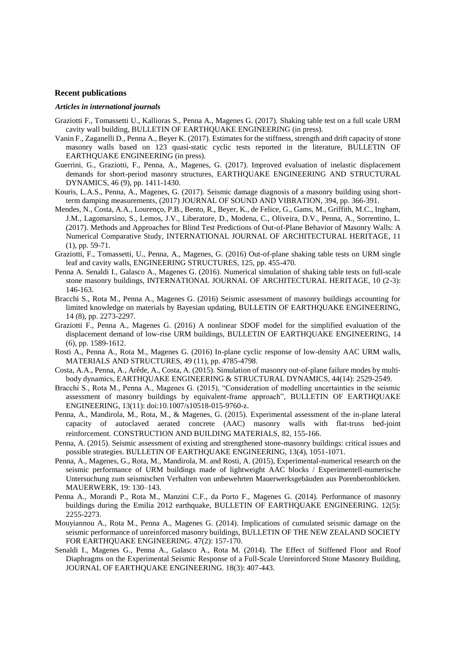#### **Recent publications**

### *Articles in international journals*

- Graziotti F., Tomassetti U., Kallioras S., Penna A., Magenes G. (2017). Shaking table test on a full scale URM cavity wall building, BULLETIN OF EARTHQUAKE ENGINEERING (in press).
- Vanin F., Zaganelli D., Penna A., Beyer K. (2017). Estimates for the stiffness, strength and drift capacity of stone masonry walls based on 123 quasi-static cyclic tests reported in the literature, BULLETIN OF EARTHQUAKE ENGINEERING (in press).
- Guerrini, G., Graziotti, F., Penna, A., Magenes, G. (2017). Improved evaluation of inelastic displacement demands for short-period masonry structures, EARTHQUAKE ENGINEERING AND STRUCTURAL DYNAMICS, 46 (9), pp. 1411-1430.
- Kouris, L.A.S., Penna, A., Magenes, G. (2017). Seismic damage diagnosis of a masonry building using shortterm damping measurements, (2017) JOURNAL OF SOUND AND VIBRATION, 394, pp. 366-391.
- Mendes, N., Costa, A.A., Lourenço, P.B., Bento, R., Beyer, K., de Felice, G., Gams, M., Griffith, M.C., Ingham, J.M., Lagomarsino, S., Lemos, J.V., Liberatore, D., Modena, C., Oliveira, D.V., Penna, A., Sorrentino, L. (2017). Methods and Approaches for Blind Test Predictions of Out-of-Plane Behavior of Masonry Walls: A Numerical Comparative Study, INTERNATIONAL JOURNAL OF ARCHITECTURAL HERITAGE, 11 (1), pp. 59-71.
- Graziotti, F., Tomassetti, U., Penna, A., Magenes, G. (2016) Out-of-plane shaking table tests on URM single leaf and cavity walls, ENGINEERING STRUCTURES, 125, pp. 455-470.
- Penna A. Senaldi I., Galasco A., Magenes G. (2016). Numerical simulation of shaking table tests on full-scale stone masonry buildings, INTERNATIONAL JOURNAL OF ARCHITECTURAL HERITAGE, 10 (2-3): 146-163.
- Bracchi S., Rota M., Penna A., Magenes G. (2016) Seismic assessment of masonry buildings accounting for limited knowledge on materials by Bayesian updating, BULLETIN OF EARTHQUAKE ENGINEERING, 14 (8), pp. 2273-2297.
- Graziotti F., Penna A., Magenes G. (2016) A nonlinear SDOF model for the simplified evaluation of the displacement demand of low-rise URM buildings, BULLETIN OF EARTHQUAKE ENGINEERING, 14 (6), pp. 1589-1612.
- Rosti A., Penna A., Rota M., Magenes G. (2016) In-plane cyclic response of low-density AAC URM walls, MATERIALS AND STRUCTURES, 49 (11), pp. 4785-4798.
- Costa, A.A., Penna, A., Arêde, A., Costa, A. (2015). Simulation of masonry out-of-[plane failure modes by multi](https://scholar.google.it/citations?view_op=view_citation&hl=it&user=JDCqZ6sAAAAJ&sortby=pubdate&citation_for_view=JDCqZ6sAAAAJ:t7zJ5fGR-2UC)[body dynamics,](https://scholar.google.it/citations?view_op=view_citation&hl=it&user=JDCqZ6sAAAAJ&sortby=pubdate&citation_for_view=JDCqZ6sAAAAJ:t7zJ5fGR-2UC) EARTHQUAKE ENGINEERING & STRUCTURAL DYNAMICS, 44(14): 2529-2549.
- Bracchi S., Rota M., Penna A., Magenes G. (2015), "Consideration of modelling uncertainties in the seismic assessment of masonry buildings by equivalent-frame approach", BULLETIN OF EARTHQUAKE ENGINEERING, 13(11): doi:10.1007/s10518-015-9760-z.
- Penna, A., Mandirola, M., Rota, M., & Magenes, G. (2015). Experimental assessment of the in-plane lateral capacity of autoclaved aerated concrete (AAC) masonry walls with flat-truss bed-joint reinforcement. CONSTRUCTION AND BUILDING MATERIALS, 82, 155-166.
- Penna, A. (2015). Seismic assessment of existing and strengthened stone-masonry buildings: critical issues and possible strategies. BULLETIN OF EARTHQUAKE ENGINEERING, 13(4), 1051-1071.
- Penna, A., Magenes, G., Rota, M., Mandirola, M. and Rosti, A. (2015), Experimental-numerical research on the seismic performance of URM buildings made of lightweight AAC blocks / Experimentell-numerische Untersuchung zum seismischen Verhalten von unbewehrten Mauerwerksgebäuden aus Porenbetonblöcken. MAUERWERK, 19: 130–143.
- Penna A., Morandi P., Rota M., Manzini C.F., da Porto F., Magenes G. (2014). Performance of masonry buildings during the Emilia 2012 earthquake, BULLETIN OF EARTHQUAKE ENGINEERING. 12(5): 2255-2273.
- Mouyiannou A., Rota M., Penna A., Magenes G. (2014). Implications of cumulated seismic damage on the seismic performance of unreinforced masonry buildings, BULLETIN OF THE NEW ZEALAND SOCIETY FOR EARTHQUAKE ENGINEERING. 47(2): 157-170.
- Senaldi I., Magenes G., Penna A., Galasco A., Rota M. (2014). The Effect of Stiffened Floor and Roof Diaphragms on the Experimental Seismic Response of a Full-Scale Unreinforced Stone Masonry Building, JOURNAL OF EARTHQUAKE ENGINEERING. 18(3): 407-443.